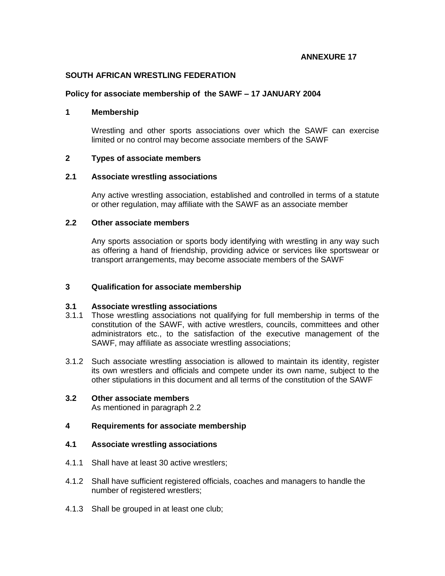## **ANNEXURE 17**

## **SOUTH AFRICAN WRESTLING FEDERATION**

### **Policy for associate membership of the SAWF – 17 JANUARY 2004**

## **1 Membership**

Wrestling and other sports associations over which the SAWF can exercise limited or no control may become associate members of the SAWF

## **2 Types of associate members**

### **2.1 Associate wrestling associations**

Any active wrestling association, established and controlled in terms of a statute or other regulation, may affiliate with the SAWF as an associate member

# **2.2 Other associate members**

Any sports association or sports body identifying with wrestling in any way such as offering a hand of friendship, providing advice or services like sportswear or transport arrangements, may become associate members of the SAWF

### **3 Qualification for associate membership**

### **3.1 Associate wrestling associations**

- 3.1.1 Those wrestling associations not qualifying for full membership in terms of the constitution of the SAWF, with active wrestlers, councils, committees and other administrators etc., to the satisfaction of the executive management of the SAWF, may affiliate as associate wrestling associations;
- 3.1.2 Such associate wrestling association is allowed to maintain its identity, register its own wrestlers and officials and compete under its own name, subject to the other stipulations in this document and all terms of the constitution of the SAWF

# **3.2 Other associate members**

As mentioned in paragraph 2.2

# **4 Requirements for associate membership**

## **4.1 Associate wrestling associations**

- 4.1.1 Shall have at least 30 active wrestlers;
- 4.1.2 Shall have sufficient registered officials, coaches and managers to handle the number of registered wrestlers;
- 4.1.3 Shall be grouped in at least one club;